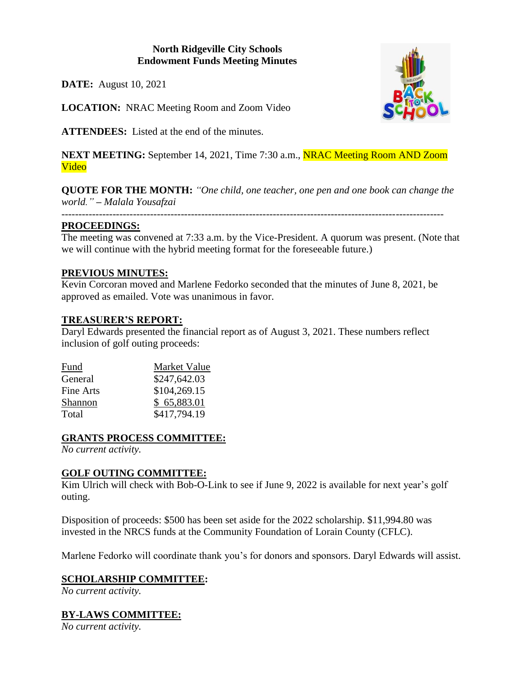### **North Ridgeville City Schools Endowment Funds Meeting Minutes**

**DATE:** August 10, 2021

**LOCATION:** NRAC Meeting Room and Zoom Video

**ATTENDEES:** Listed at the end of the minutes.

**NEXT MEETING:** September 14, 2021, Time 7:30 a.m., NRAC Meeting Room AND Zoom Video

**QUOTE FOR THE MONTH:** *"One child, one teacher, one pen and one book can change the world." – Malala Yousafzai*

*----------------------------------------------------------------------------------------------------------------*

### **PROCEEDINGS:**

The meeting was convened at 7:33 a.m. by the Vice-President. A quorum was present. (Note that we will continue with the hybrid meeting format for the foreseeable future.)

#### **PREVIOUS MINUTES:**

Kevin Corcoran moved and Marlene Fedorko seconded that the minutes of June 8, 2021, be approved as emailed. Vote was unanimous in favor.

### **TREASURER'S REPORT:**

Daryl Edwards presented the financial report as of August 3, 2021. These numbers reflect inclusion of golf outing proceeds:

| Fund      | Market Value |
|-----------|--------------|
| General   | \$247,642.03 |
| Fine Arts | \$104,269.15 |
| Shannon   | \$65,883.01  |
| Total     | \$417,794.19 |

### **GRANTS PROCESS COMMITTEE:**

*No current activity.*

### **GOLF OUTING COMMITTEE:**

Kim Ulrich will check with Bob-O-Link to see if June 9, 2022 is available for next year's golf outing.

Disposition of proceeds: \$500 has been set aside for the 2022 scholarship. \$11,994.80 was invested in the NRCS funds at the Community Foundation of Lorain County (CFLC).

Marlene Fedorko will coordinate thank you's for donors and sponsors. Daryl Edwards will assist.

### **SCHOLARSHIP COMMITTEE:**

*No current activity.*

### **BY-LAWS COMMITTEE:**

*No current activity.*

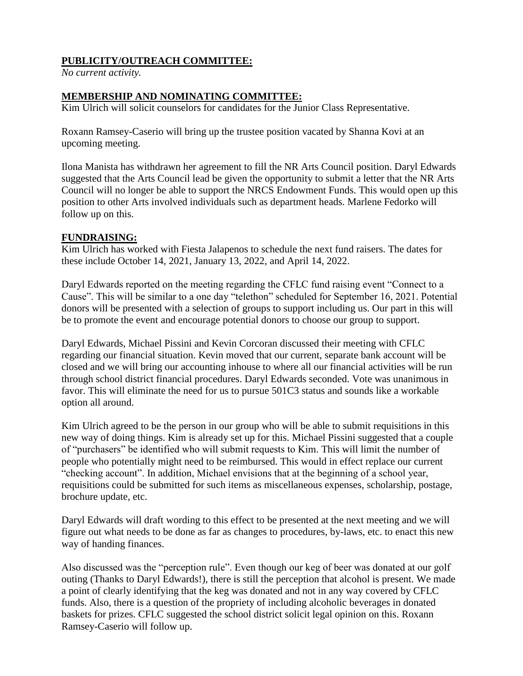## **PUBLICITY/OUTREACH COMMITTEE:**

*No current activity.*

#### **MEMBERSHIP AND NOMINATING COMMITTEE:**

Kim Ulrich will solicit counselors for candidates for the Junior Class Representative.

Roxann Ramsey-Caserio will bring up the trustee position vacated by Shanna Kovi at an upcoming meeting.

Ilona Manista has withdrawn her agreement to fill the NR Arts Council position. Daryl Edwards suggested that the Arts Council lead be given the opportunity to submit a letter that the NR Arts Council will no longer be able to support the NRCS Endowment Funds. This would open up this position to other Arts involved individuals such as department heads. Marlene Fedorko will follow up on this.

#### **FUNDRAISING:**

Kim Ulrich has worked with Fiesta Jalapenos to schedule the next fund raisers. The dates for these include October 14, 2021, January 13, 2022, and April 14, 2022.

Daryl Edwards reported on the meeting regarding the CFLC fund raising event "Connect to a Cause". This will be similar to a one day "telethon" scheduled for September 16, 2021. Potential donors will be presented with a selection of groups to support including us. Our part in this will be to promote the event and encourage potential donors to choose our group to support.

Daryl Edwards, Michael Pissini and Kevin Corcoran discussed their meeting with CFLC regarding our financial situation. Kevin moved that our current, separate bank account will be closed and we will bring our accounting inhouse to where all our financial activities will be run through school district financial procedures. Daryl Edwards seconded. Vote was unanimous in favor. This will eliminate the need for us to pursue 501C3 status and sounds like a workable option all around.

Kim Ulrich agreed to be the person in our group who will be able to submit requisitions in this new way of doing things. Kim is already set up for this. Michael Pissini suggested that a couple of "purchasers" be identified who will submit requests to Kim. This will limit the number of people who potentially might need to be reimbursed. This would in effect replace our current "checking account". In addition, Michael envisions that at the beginning of a school year, requisitions could be submitted for such items as miscellaneous expenses, scholarship, postage, brochure update, etc.

Daryl Edwards will draft wording to this effect to be presented at the next meeting and we will figure out what needs to be done as far as changes to procedures, by-laws, etc. to enact this new way of handing finances.

Also discussed was the "perception rule". Even though our keg of beer was donated at our golf outing (Thanks to Daryl Edwards!), there is still the perception that alcohol is present. We made a point of clearly identifying that the keg was donated and not in any way covered by CFLC funds. Also, there is a question of the propriety of including alcoholic beverages in donated baskets for prizes. CFLC suggested the school district solicit legal opinion on this. Roxann Ramsey-Caserio will follow up.